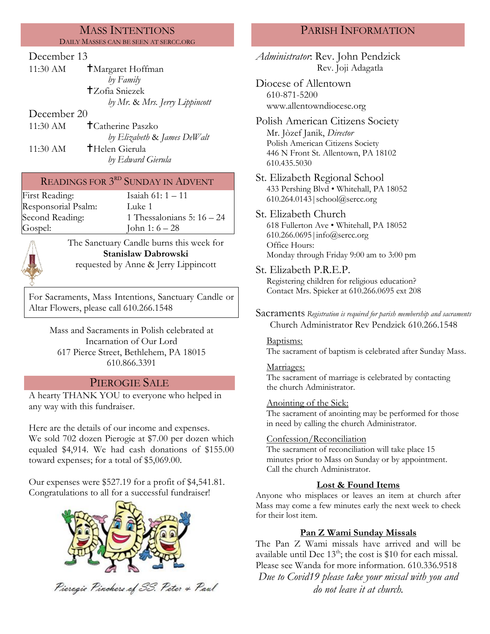### MASS INTENTIONS DAILY MASSES CAN BE SEEN AT SERCC.ORG

## December 13

| 11:30 AM    | <b>T</b> Margaret Hoffman      |
|-------------|--------------------------------|
|             | by Family                      |
|             | <b>T</b> Zofia Sniezek         |
|             | by Mr. & Mrs. Jerry Lippincott |
| December 20 |                                |

11:30 AM Catherine Paszko *by Elizabeth* & *James DeWalt* 11:30 AM **T**Helen Gierula *by Edward Gierula*

# READINGS FOR  $3<sup>RD</sup>$  SUNDAY IN ADVENT

| First Reading:      | Isaiah $61:1 - 11$           |
|---------------------|------------------------------|
| Responsorial Psalm: | Luke 1                       |
| Second Reading:     | 1 Thessalonians 5: $16 - 24$ |
| Gospel:             | John 1: $6 - 28$             |



The Sanctuary Candle burns this week for **Stanislaw Dabrowski** requested by Anne & Jerry Lippincott

For Sacraments, Mass Intentions, Sanctuary Candle or Altar Flowers, please call 610.266.1548

Mass and Sacraments in Polish celebrated at Incarnation of Our Lord 617 Pierce Street, Bethlehem, PA 18015 610.866.3391

# PIEROGIE SALE

A hearty THANK YOU to everyone who helped in any way with this fundraiser.

Here are the details of our income and expenses. We sold 702 dozen Pierogie at \$7.00 per dozen which equaled \$4,914. We had cash donations of \$155.00 toward expenses; for a total of \$5,069.00.

Our expenses were \$527.19 for a profit of \$4,541.81. Congratulations to all for a successful fundraiser!



Pieragie Pinchers of SS. Peter & Paul

# PARISH INFORMATION

*Administrator*: Rev. John Pendzick Rev. Joji Adagatla Diocese of Allentown 610-871-5200 www.allentowndiocese.org Polish American Citizens Society Mr. Jòzef Janik, *Director* Polish American Citizens Society 446 N Front St. Allentown, PA 18102 610.435.5030 St. Elizabeth Regional School 433 Pershing Blvd • Whitehall, PA 18052 610.264.0143|school@sercc.org St. Elizabeth Church 618 Fullerton Ave • Whitehall, PA 18052 610.266.0695|info@sercc.org Office Hours: Monday through Friday 9:00 am to 3:00 pm St. Elizabeth P.R.E.P. Registering children for religious education? Contact Mrs. Spieker at 610.266.0695 ext 208 Sacraments *Registration is required for parish membership and sacraments* Church Administrator Rev Pendzick 610.266.1548 Baptisms: The sacrament of baptism is celebrated after Sunday Mass. Marriages: The sacrament of marriage is celebrated by contacting the church Administrator. Anointing of the Sick: The sacrament of anointing may be performed for those in need by calling the church Administrator. Confession/Reconciliation The sacrament of reconciliation will take place 15 minutes prior to Mass on Sunday or by appointment. Call the church Administrator. **Lost & Found Items** Anyone who misplaces or leaves an item at church after Mass may come a few minutes early the next week to check for their lost item. **Pan Z Wami Sunday Missals**

The Pan Z Wami missals have arrived and will be available until Dec  $13<sup>th</sup>$ ; the cost is \$10 for each missal. Please see Wanda for more information. 610.336.9518 *Due to Covid19 please take your missal with you and do not leave it at church.*